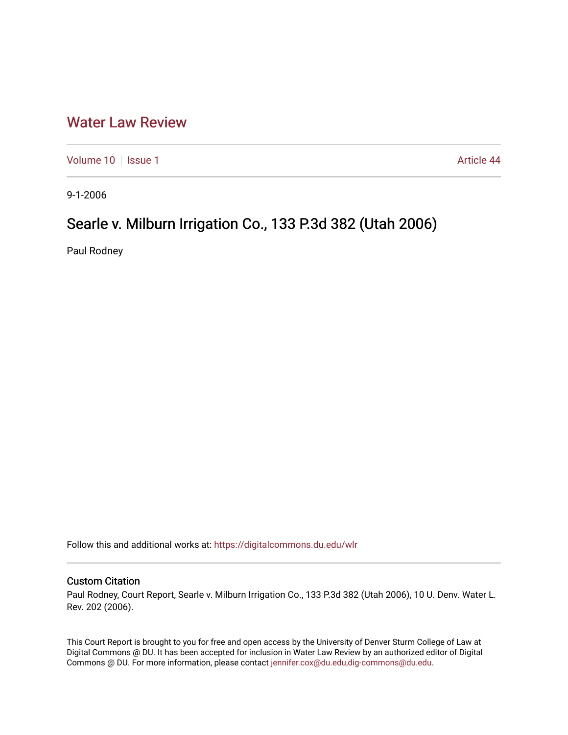## [Water Law Review](https://digitalcommons.du.edu/wlr)

[Volume 10](https://digitalcommons.du.edu/wlr/vol10) | [Issue 1](https://digitalcommons.du.edu/wlr/vol10/iss1) Article 44

9-1-2006

## Searle v. Milburn Irrigation Co., 133 P.3d 382 (Utah 2006)

Paul Rodney

Follow this and additional works at: [https://digitalcommons.du.edu/wlr](https://digitalcommons.du.edu/wlr?utm_source=digitalcommons.du.edu%2Fwlr%2Fvol10%2Fiss1%2F44&utm_medium=PDF&utm_campaign=PDFCoverPages) 

## Custom Citation

Paul Rodney, Court Report, Searle v. Milburn Irrigation Co., 133 P.3d 382 (Utah 2006), 10 U. Denv. Water L. Rev. 202 (2006).

This Court Report is brought to you for free and open access by the University of Denver Sturm College of Law at Digital Commons @ DU. It has been accepted for inclusion in Water Law Review by an authorized editor of Digital Commons @ DU. For more information, please contact [jennifer.cox@du.edu,dig-commons@du.edu.](mailto:jennifer.cox@du.edu,dig-commons@du.edu)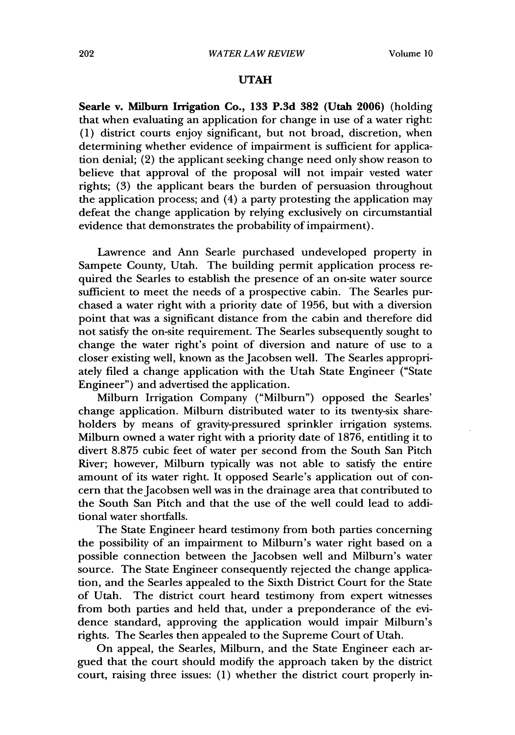## **UTAH**

Searle v. Milburn Irrigation Co., **133 P.3d 382** (Utah **2006)** (holding that when evaluating an application for change in use of a water right: **(1)** district courts enjoy significant, but not broad, discretion, when determining whether evidence of impairment is sufficient for application denial; (2) the applicant seeking change need only show reason to believe that approval of the proposal will not impair vested water rights; **(3)** the applicant bears the burden of persuasion throughout the application process; and (4) a party protesting the application may defeat the change application **by** relying exclusively on circumstantial evidence that demonstrates the probability of impairment).

Lawrence and Ann Searle purchased undeveloped property in Sampete County, Utah. The building permit application process required the Searles to establish the presence of an on-site water source sufficient to meet the needs of a prospective cabin. The Searles purchased a water right with a priority date of 1956, but with a diversion point that was a significant distance from the cabin and therefore did not satisfy the on-site requirement. The Searles subsequently sought to change the water right's point of diversion and nature of use to a closer existing well, known as the Jacobsen well. The Searles appropriately filed a change application with the Utah State Engineer ("State Engineer") and advertised the application.

Milburn Irrigation Company ("Milburn") opposed the Searles' change application. Milburn distributed water to its twenty-six shareholders **by** means of gravity-pressured sprinkler irrigation systems. Milburn owned a water right with a priority date of **1876,** entitling it to divert **8.875** cubic feet of water per second from the South San Pitch River; however, Milburn typically was not able to satisfy the entire amount of its water right. It opposed Searle's application out of concern that the Jacobsen well was in the drainage area that contributed to the South San Pitch and that the use of the **well** could lead to additional water shortfalls.

The State Engineer heard testimony from both parties concerning the possibility of an impairment to Milburn's water right based on a possible connection between the Jacobsen well and Milburn's water source. The State Engineer consequently rejected the change application, and the Searles appealed to the Sixth District Court for the State of Utah. The district court heard testimony from expert witnesses from both parties and held that, under a preponderance of the evidence standard, approving the application would impair Milburn's rights. The Searles then appealed to the Supreme Court of Utah.

On appeal, the Searles, Milburn, and the State Engineer each argued that the court should modify the approach taken **by** the district court, raising three issues: **(1)** whether the district court properly in